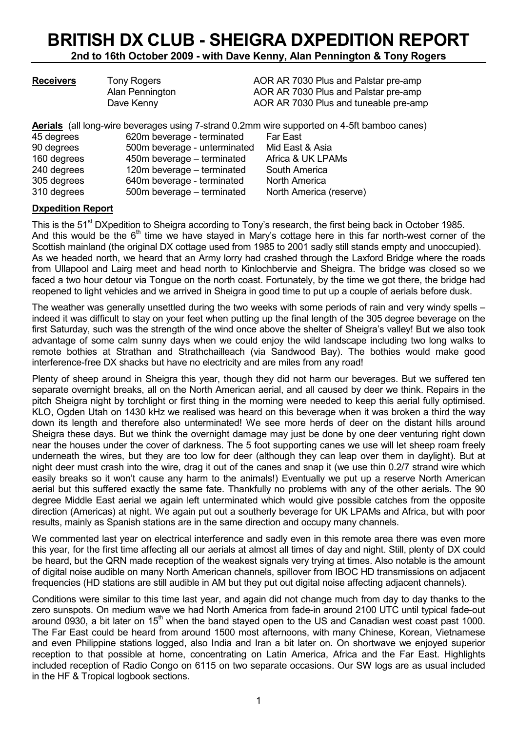# BRITISH DX CLUB - SHEIGRA DXPEDITION REPORT

2nd to 16th October 2009 - with Dave Kenny, Alan Pennington & Tony Rogers

| <b>Receivers</b> | <b>Tony Rogers</b>           | AOR AR 7030 Plus and Palstar pre-amp                                                        |
|------------------|------------------------------|---------------------------------------------------------------------------------------------|
|                  | Alan Pennington              | AOR AR 7030 Plus and Palstar pre-amp                                                        |
|                  | Dave Kenny                   | AOR AR 7030 Plus and tuneable pre-amp                                                       |
|                  |                              | Aerials (all long-wire beverages using 7-strand 0.2mm wire supported on 4-5ft bamboo canes) |
| 45 degrees       | 620m beverage - terminated   | <b>Far East</b>                                                                             |
| 90 degrees       | 500m beverage - unterminated | Mid East & Asia                                                                             |
| 160 degrees      | 450m beverage – terminated   | Africa & UK LPAMs                                                                           |
|                  |                              |                                                                                             |

240 degrees 120m beverage – terminated South America 305 degrees 640m beverage - terminated North America 310 degrees 500m beverage – terminated North America (reserve)

Dxpedition Report This is the 51<sup>st</sup> DXpedition to Sheigra according to Tony's research, the first being back in October 1985. And this would be the  $6<sup>th</sup>$  time we have stayed in Mary's cottage here in this far north-west corner of the Scottish mainland (the original DX cottage used from 1985 to 2001 sadly still stands empty and unoccupied). As we headed north, we heard that an Army lorry had crashed through the Laxford Bridge where the roads from Ullapool and Lairg meet and head north to Kinlochbervie and Sheigra. The bridge was closed so we faced a two hour detour via Tongue on the north coast. Fortunately, by the time we got there, the bridge had

The weather was generally unsettled during the two weeks with some periods of rain and very windy spells – indeed it was difficult to stay on your feet when putting up the final length of the 305 degree beverage on the first Saturday, such was the strength of the wind once above the shelter of Sheigra's valley! But we also took advantage of some calm sunny days when we could enjoy the wild landscape including two long walks to remote bothies at Strathan and Strathchailleach (via Sandwood Bay). The bothies would make good interference-free DX shacks but have no electricity and are miles from any road!

reopened to light vehicles and we arrived in Sheigra in good time to put up a couple of aerials before dusk.

Plenty of sheep around in Sheigra this year, though they did not harm our beverages. But we suffered ten separate overnight breaks, all on the North American aerial, and all caused by deer we think. Repairs in the pitch Sheigra night by torchlight or first thing in the morning were needed to keep this aerial fully optimised. KLO, Ogden Utah on 1430 kHz we realised was heard on this beverage when it was broken a third the way down its length and therefore also unterminated! We see more herds of deer on the distant hills around Sheigra these days. But we think the overnight damage may just be done by one deer venturing right down near the houses under the cover of darkness. The 5 foot supporting canes we use will let sheep roam freely underneath the wires, but they are too low for deer (although they can leap over them in daylight). But at night deer must crash into the wire, drag it out of the canes and snap it (we use thin 0.2/7 strand wire which easily breaks so it won't cause any harm to the animals!) Eventually we put up a reserve North American aerial but this suffered exactly the same fate. Thankfully no problems with any of the other aerials. The 90 degree Middle East aerial we again left unterminated which would give possible catches from the opposite direction (Americas) at night. We again put out a southerly beverage for UK LPAMs and Africa, but with poor results, mainly as Spanish stations are in the same direction and occupy many channels.

We commented last year on electrical interference and sadly even in this remote area there was even more this year, for the first time affecting all our aerials at almost all times of day and night. Still, plenty of DX could be heard, but the QRN made reception of the weakest signals very trying at times. Also notable is the amount of digital noise audible on many North American channels, spillover from IBOC HD transmissions on adjacent frequencies (HD stations are still audible in AM but they put out digital noise affecting adjacent channels).

Conditions were similar to this time last year, and again did not change much from day to day thanks to the zero sunspots. On medium wave we had North America from fade-in around 2100 UTC until typical fade-out around 0930, a bit later on 15<sup>th</sup> when the band staved open to the US and Canadian west coast past 1000. The Far East could be heard from around 1500 most afternoons, with many Chinese, Korean, Vietnamese and even Philippine stations logged, also India and Iran a bit later on. On shortwave we enjoyed superior reception to that possible at home, concentrating on Latin America, Africa and the Far East. Highlights included reception of Radio Congo on 6115 on two separate occasions. Our SW logs are as usual included in the HF & Tropical logbook sections.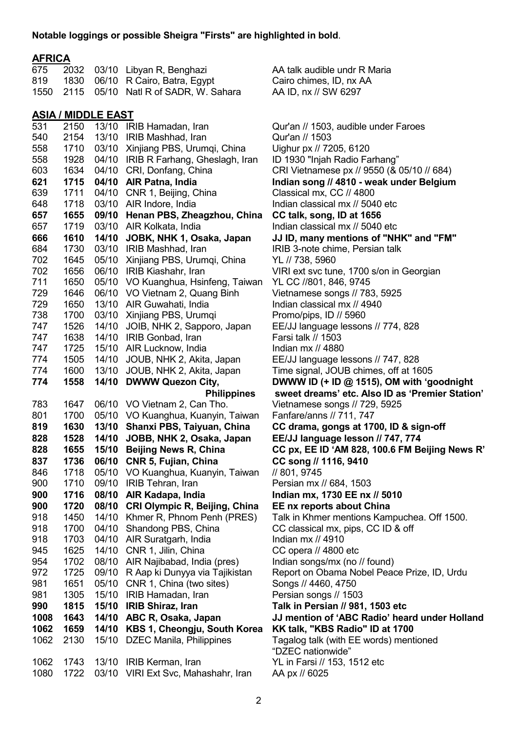#### Notable loggings or possible Sheigra "Firsts" are highlighted in bold.

### AFRICA

| 675          | 2032         | 03/10                     | Libyan R, Benghazi                                  | AA talk audible undr F                          |
|--------------|--------------|---------------------------|-----------------------------------------------------|-------------------------------------------------|
| 819          | 1830         | 06/10                     | R Cairo, Batra, Egypt                               | Cairo chimes, ID, nx A                          |
| 1550         | 2115         | 05/10                     | Natl R of SADR, W. Sahara                           | AA ID, nx // SW 6297                            |
|              |              | <b>ASIA / MIDDLE EAST</b> |                                                     |                                                 |
| 531          | 2150         | 13/10                     | IRIB Hamadan, Iran                                  | Qur'an // 1503, audible                         |
| 540          | 2154         | 13/10                     | IRIB Mashhad, Iran                                  | Qur'an // 1503                                  |
| 558          | 1710         | 03/10                     | Xinjiang PBS, Urumqi, China                         | Uighur px // 7205, 612                          |
| 558          | 1928         | 04/10                     | IRIB R Farhang, Gheslagh, Iran                      | ID 1930 "Injah Radio I                          |
| 603          | 1634         | 04/10                     | CRI, Donfang, China                                 | CRI Vietnamese px //                            |
| 621          | 1715         | 04/10                     | <b>AIR Patna, India</b>                             | Indian song // 4810 -                           |
| 639          | 1711         | 04/10                     | CNR 1, Beijing, China                               | Classical mx, CC // 48                          |
| 648          | 1718         | 03/10                     | AIR Indore, India                                   | Indian classical mx // !                        |
| 657          | 1655         | 09/10                     | Henan PBS, Zheagzhou, China                         | CC talk, song, ID at '                          |
| 657          | 1719         | 03/10                     | AIR Kolkata, India                                  | Indian classical mx // !                        |
| 666          | 1610         | 14/10                     | JOBK, NHK 1, Osaka, Japan                           | JJ ID, many mention                             |
| 684          | 1730         | 03/10                     | IRIB Mashhad, Iran                                  | IRIB 3-note chime, Pe                           |
| 702          | 1645         | 05/10                     | Xinjiang PBS, Urumqi, China                         | YL // 738, 5960                                 |
| 702          | 1656         | 06/10                     | IRIB Kiashahr, Iran                                 | VIRI ext svc tune, 170                          |
| 711          | 1650         | 05/10                     | VO Kuanghua, Hsinfeng, Taiwan                       | YL CC //801, 846, 974                           |
| 729          | 1646         | 06/10                     | VO Vietnam 2, Quang Binh                            | Vietnamese songs // 7                           |
| 729          | 1650         | 13/10                     | AIR Guwahati, India                                 | Indian classical mx // 4                        |
| 738          | 1700         | 03/10                     | Xinjiang PBS, Urumqi                                | Promo/pips, ID // 5960                          |
| 747          | 1526         | 14/10                     | JOIB, NHK 2, Sapporo, Japan                         | EE/JJ language lesso                            |
| 747          | 1638         | 14/10                     | IRIB Gonbad, Iran                                   | Farsi talk // 1503                              |
| 747          | 1725         | 15/10                     | AIR Lucknow, India                                  | Indian mx // 4880                               |
| 774          | 1505         | 14/10                     | JOUB, NHK 2, Akita, Japan                           | EE/JJ language lesso                            |
| 774          | 1600         | 13/10                     | JOUB, NHK 2, Akita, Japan                           | Time signal, JOUB ch                            |
| 774          | 1558         | 14/10                     | <b>DWWW Quezon City,</b>                            | DWWW ID $(+$ ID $@$ 1                           |
|              |              |                           | <b>Philippines</b>                                  | sweet dreams' etc.                              |
| 783          | 1647         | 06/10                     | VO Vietnam 2, Can Tho.                              | Vietnamese songs // 7                           |
| 801          | 1700         | 05/10                     | VO Kuanghua, Kuanyin, Taiwan                        | Fanfare/anns // 711, 7                          |
| 819          | 1630         | 13/10                     | Shanxi PBS, Taiyuan, China                          | CC drama, gongs at                              |
| 828          | 1528         | 14/10                     | JOBB, NHK 2, Osaka, Japan                           | <b>EE/JJ language less</b>                      |
| 828          | 1655         | 15/10                     | <b>Beijing News R, China</b>                        | CC px, EE ID 'AM 82                             |
| 837          | 1736         | 06/10                     | CNR 5, Fujian, China                                | CC song // 1116, 941                            |
| 846          | 1718         | 05/10                     | VO Kuanghua, Kuanyin, Taiwan                        | // 801, 9745                                    |
| 900          | 1710         | 09/10                     | <b>IRIB Tehran, Iran</b>                            | Persian mx // 684, 15                           |
| 900          | 1716         | 08/10                     | AIR Kadapa, India                                   | Indian mx, 1730 EE r                            |
| 900          | 1720         | 08/10                     | CRI Olympic R, Beijing, China                       | EE nx reports about                             |
| 918          | 1450         | 14/10                     | Khmer R, Phnom Penh (PRES)                          | Talk in Khmer mentior                           |
| 918          | 1700         | 04/10                     | Shandong PBS, China                                 | CC classical mx, pips,                          |
| 918          | 1703         | 04/10                     | AIR Suratgarh, India                                | Indian mx // 4910                               |
| 945          | 1625         | 14/10                     | CNR 1, Jilin, China                                 | CC opera // 4800 etc                            |
| 954          | 1702         | 08/10                     | AIR Najibabad, India (pres)                         | Indian songs/mx (no /                           |
| 972          | 1725         | 09/10                     | R Aap ki Dunyya via Tajikistan                      | Report on Obama No                              |
| 981<br>981   | 1651<br>1305 | 05/10<br>15/10            | CNR 1, China (two sites)<br>IRIB Hamadan, Iran      | Songs // 4460, 4750                             |
| 990          | 1815         | 15/10                     | <b>IRIB Shiraz, Iran</b>                            | Persian songs // 1503<br>Talk in Persian // 981 |
|              | 1643         | 14/10                     |                                                     | JJ mention of 'ABC                              |
| 1008<br>1062 | 1659         | 14/10                     | ABC R, Osaka, Japan<br>KBS 1, Cheongju, South Korea | <b>KK talk, "KBS Radio</b>                      |
| 1062         | 2130         | 15/10                     | <b>DZEC Manila, Philippines</b>                     | Tagalog talk (with EE                           |
|              |              |                           |                                                     | "DZEC nationwide"                               |
| 1062         | 1743         | 13/10                     | IRIB Kerman, Iran                                   | YL in Farsi // 153, 151                         |
| 1080         | 1722         | 03/10                     | VIRI Ext Svc, Mahashahr, Iran                       | AA px // 6025                                   |
|              |              |                           |                                                     |                                                 |

Qur'an // 1503, audible under Faroes Qur'an // 1503 Ujahur px // 7205, 6120 ID 1930 "Injah Radio Farhang" CRI Vietnamese px // 9550 (& 05/10 // 684) Indian song // 4810 - weak under Belgium Classical mx, CC // 4800 Indian classical mx // 5040 etc 66 CC talk, song, ID at 1656 Indian classical mx // 5040 etc JJ ID, many mentions of "NHK" and "FM" IRIB 3-note chime, Persian talk YL // 738, 5960 VIRI ext svc tune, 1700 s/on in Georgian YL CC //801, 846, 9745 Vietnamese songs // 783, 5925 Indian classical mx // 4940 Promo/pips, ID // 5960 EE/JJ language lessons // 774, 828 Farsi talk // 1503 Indian mx // 4880 EE/JJ language lessons // 747, 828 Time signal, JOUB chimes, off at 1605 DWWW ID (+ ID  $@$  1515), OM with 'goodnight sweet dreams' etc. Also ID as 'Premier Station' Vietnamese songs // 729, 5925 Fanfare/anns // 711, 747 CC drama, gongs at 1700, ID & sign-off EE/JJ language lesson // 747, 774 CC px, EE ID 'AM 828, 100.6 FM Beijing News R' CC song // 1116, 9410 // 801, 9745 Persian mx // 684, 1503 Indian mx, 1730 EE nx // 5010 EE nx reports about China Talk in Khmer mentions Kampuchea. Off 1500. CC classical mx, pips, CC ID & off Indian mx // 4910 CC opera // 4800 etc Indian songs/mx (no // found) Report on Obama Nobel Peace Prize, ID, Urdu Songs // 4460, 4750 Persian songs // 1503 Talk in Persian // 981, 1503 etc JJ mention of 'ABC Radio' heard under Holland KK talk, "KBS Radio" ID at 1700 Tagalog talk (with EE words) mentioned "DZEC nationwide" YL in Farsi // 153, 1512 etc AA px // 6025

AA talk audible undr R Maria Cairo chimes, ID, nx AA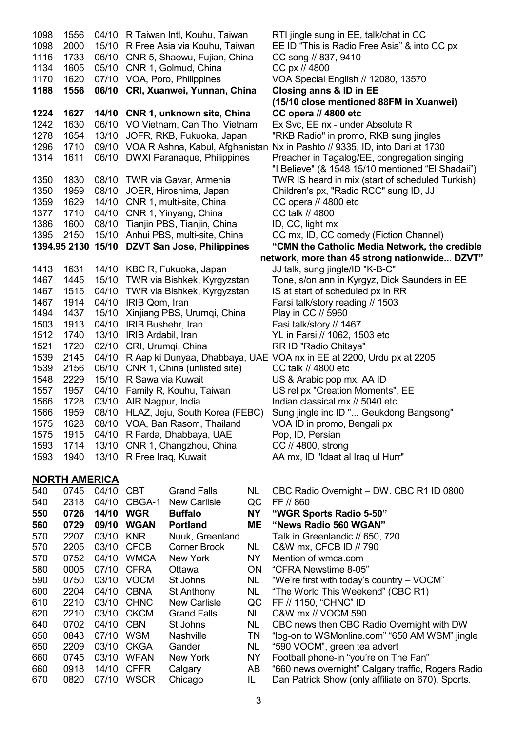1098 1556 04/10 R Taiwan Intl, Kouhu, Taiwan RTI jingle sung in EE, talk/chat in CC 1098 2000 15/10 R Free Asia via Kouhu, Taiwan EE ID "This is Radio Free Asia" & into CC px 1116 1733 06/10 CNR 5, Shaowu, Fujian, China CC song // 837, 9410 1134 1605 05/10 CNR 1, Golmud, China CC px // 4800 1170 1620 07/10 VOA, Poro, Philippines VOA Special English // 12080, 13570 1188 1556 06/10 CRI, Xuanwei, Yunnan, China Closing anns & ID in EE (15/10 close mentioned 88FM in Xuanwei) 1224 1627 14/10 CNR 1, unknown site, China CC opera // 4800 etc 1242 1630 06/10 VO Vietnam, Can Tho, Vietnam Ex Svc, EE nx - under Absolute R 1278 1654 13/10 JOFR, RKB, Fukuoka, Japan "RKB Radio" in promo, RKB sung jingles 1296 1710 09/10 VOA R Ashna, Kabul, Afghanistan Nx in Pashto // 9335, ID, into Dari at 1730 1314 1611 06/10 DWXI Paranaque, Philippines Preacher in Tagalog/EE, congregation singing "I Believe" (& 1548 15/10 mentioned "El Shadaii") 1350 1830 08/10 TWR via Gavar, Armenia TWR IS heard in mix (start of scheduled Turkish) 1350 1959 08/10 JOER, Hiroshima, Japan Children's px, "Radio RCC" sung ID, JJ 1359 1629 14/10 CNR 1, multi-site, China CC opera // 4800 etc 1377 1710 04/10 CNR 1, Yinyang, China CC talk // 4800<br>1386 1600 08/10 Tianiin PBS. Tianiin, China ID, CC, light mx 1386 1600 08/10 Tianjin PBS, Tianjin, China 1395 2150 15/10 Anhui PBS, multi-site, China CC mx, ID, CC comedy (Fiction Channel) 1394.95 2130 15/10 DZVT San Jose, Philippines "CMN the Catholic Media Network, the credible network, more than 45 strong nationwide... DZVT" 1413 1631 14/10 KBC R, Fukuoka, Japan JJ talk, sung jingle/ID "K-B-C" 1467 1445 15/10 TWR via Bishkek, Kyrgyzstan Tone, s/on ann in Kyrgyz, Dick Saunders in EE 1467 1515 04/10 TWR via Bishkek, Kyrgyzstan IS at start of scheduled px in RR 1467 1914 04/10 IRIB Qom, Iran Farsi talk/story reading // 1503 1494 1437 15/10 Xinjiang PBS, Urumqi, China Play in CC // 5960 1503 1913 04/10 IRIB Bushehr, Iran Fasi talk/story // 1467 1512 1740 13/10 IRIB Ardabil, Iran YL in Farsi // 1062, 1503 etc 1521 1720 02/10 CRI, Urumqi, China RR ID "Radio Chitaya" 1539 2145 04/10 R Aap ki Dunyaa, Dhabbaya, UAE VOA nx in EE at 2200, Urdu px at 2205 1539 2156 06/10 CNR 1, China (unlisted site) CC talk // 4800 etc 1548 2229 15/10 R Sawa via Kuwait US & Arabic pop mx, AA ID 1557 1957 04/10 Family R, Kouhu, Taiwan US rel px "Creation Moments", EE 1566 1728 03/10 AIR Nagpur, India Indian classical mx // 5040 etc 1566 1959 08/10 HLAZ, Jeju, South Korea (FEBC) Sung jingle inc ID "... Geukdong Bangsong" 1575 1628 08/10 VOA, Ban Rasom, Thailand VOA ID in promo, Bengali px 1575 1915 04/10 R Farda, Dhabbaya, UAE Pop, ID, Persian 1593 1714 13/10 CNR 1, Changzhou, China CC // 4800, strong 1593 1940 13/10 R Free Iraq, Kuwait AA mx, ID "Idaat al Iraq ul Hurr"

#### NORTH AMERICA

| 540 | 0745  | 04/10 | CBT         | Grand Falls         |
|-----|-------|-------|-------------|---------------------|
| 540 | 2318  | 04/10 | CBGA-1      | New Carlisle        |
| 550 | 0726  | 14/10 | WGR         | <b>Buffalo</b>      |
| 560 | 0729  | 09/10 | WGAN        | <b>Portland</b>     |
| 570 | 2207  | 03/10 | <b>KNR</b>  | Nuuk, Greenland     |
| 570 | 2205  | 03/10 | <b>CFCB</b> | Corner Brook        |
| 570 | 0752  | 04/10 | WMCA        | New York            |
| 580 | 0005  | 07/10 | <b>CFRA</b> | Ottawa              |
| 590 | 0750  | 03/10 | <b>VOCM</b> | St Johns            |
| 600 | 2204  | 04/10 | <b>CBNA</b> | St Anthony          |
| 610 | 2210  | 03/10 | <b>CHNC</b> | <b>New Carlisle</b> |
| 620 | 2210  | 03/10 | <b>CKCM</b> | Grand Falls         |
| 640 | 0702  | 04/10 | <b>CBN</b>  | St Johns            |
| 650 | 0843  | 07/10 | WSM         | Nashville           |
| 650 | 2209  | 03/10 | <b>CKGA</b> | Gander              |
| 660 | 0745  | 03/10 | WFAN        | New York            |
| 660 | 0918  | 14/10 | <b>CFFR</b> | Calgary             |
| 670 | ุกลวก | 07/10 | WSCR        | Chicago             |

NL CBC Radio Overnight – DW. CBC R1 ID 0800

#### QC FF // 860

NY "WGR Sports Radio 5-50"

#### ME "News Radio 560 WGAN"

- Talk in Greenlandic // 650, 720<br>NL C&W mx. CFCB ID // 790
	- C&W mx, CFCB ID // 790
- NY Mention of wmca.com
- ON "CFRA Newstime 8-05"
- NL "We're first with today's country VOCM"
- NL "The World This Weekend" (CBC R1)
- QC FF // 1150, "CHNC" ID
- NL C&W mx // VOCM 590
- NL CBC news then CBC Radio Overnight with DW
- TN "log-on to WSM online.com" "650 AM WSM" jingle
- NL "590 VOCM", green tea advert
- NY Football phone-in "you're on The Fan"
- AB "660 news overnight" Calgary traffic, Rogers Radio
- ago **IL** Dan Patrick Show (only affiliate on 670). Sports.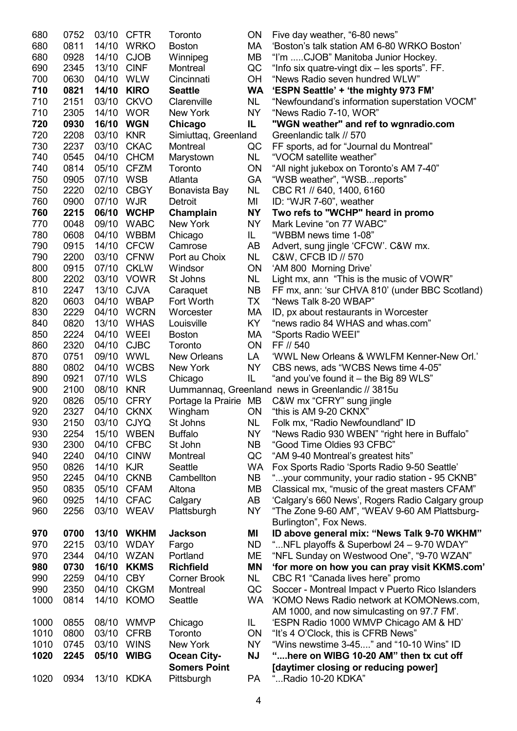| 680  | 0752 |           | 03/10 CFTR  | Toronto               | 0N        | Five day weather, "6-80 news"                     |
|------|------|-----------|-------------|-----------------------|-----------|---------------------------------------------------|
| 680  | 0811 |           | 14/10 WRKO  | <b>Boston</b>         | МA        | 'Boston's talk station AM 6-80 WRKO Boston'       |
| 680  | 0928 | 14/10     | <b>CJOB</b> | Winnipeg              | MВ        | "I'm CJOB" Manitoba Junior Hockey.                |
| 690  | 2345 | 13/10     | <b>CINF</b> | Montreal              | QC        | "Info six quatre-vingt dix - les sports". FF.     |
| 700  | 0630 | 04/10     | WLW         | Cincinnati            | <b>OH</b> | "News Radio seven hundred WLW"                    |
| 710  | 0821 |           | 14/10 KIRO  | <b>Seattle</b>        | <b>WA</b> | 'ESPN Seattle' + 'the mighty 973 FM'              |
| 710  | 2151 |           | 03/10 CKVO  | Clarenville           | NL.       | "Newfoundand's information superstation VOCM"     |
| 710  | 2305 |           | 14/10 WOR   | New York              | NY        | "News Radio 7-10, WOR"                            |
| 720  | 0930 | 16/10 WGN |             | Chicago               | IL        | "WGN weather" and ref to wgnradio.com             |
| 720  | 2208 | 03/10     | <b>KNR</b>  | Simiuttaq, Greenland  |           | Greenlandic talk // 570                           |
| 730  | 2237 | 03/10     | <b>CKAC</b> | Montreal              | QC        | FF sports, ad for "Journal du Montreal"           |
| 740  | 0545 | 04/10     | <b>CHCM</b> | Marystown             | NL        | "VOCM satellite weather"                          |
| 740  | 0814 | 05/10     | <b>CFZM</b> | Toronto               | <b>ON</b> | "All night jukebox on Toronto's AM 7-40"          |
| 750  | 0905 | 07/10 WSB |             | Atlanta               | <b>GA</b> | "WSB weather", "WSBreports"                       |
| 750  | 2220 |           | 02/10 CBGY  |                       | <b>NL</b> |                                                   |
|      |      |           |             | Bonavista Bay         |           | CBC R1 // 640, 1400, 6160                         |
| 760  | 0900 | 07/10 WJR |             | Detroit               | MI        | ID: "WJR 7-60", weather                           |
| 760  | 2215 |           | 06/10 WCHP  | Champlain             | <b>NY</b> | Two refs to "WCHP" heard in promo                 |
| 770  | 0048 |           | 09/10 WABC  | New York              | <b>NY</b> | Mark Levine "on 77 WABC"                          |
| 780  | 0608 | 04/10     | <b>WBBM</b> | Chicago               | IL.       | "WBBM news time 1-08"                             |
| 790  | 0915 | 14/10     | <b>CFCW</b> | Camrose               | AB        | Advert, sung jingle 'CFCW'. C&W mx.               |
| 790  | 2200 |           | 03/10 CFNW  | Port au Choix         | <b>NL</b> | C&W, CFCB ID // 570                               |
| 800  | 0915 |           | 07/10 CKLW  | Windsor               | <b>ON</b> | 'AM 800 Morning Drive'                            |
| 800  | 2202 |           | 03/10 VOWR  | St Johns              | NL        | Light mx, ann "This is the music of VOWR"         |
| 810  | 2247 |           | 13/10 CJVA  | Caraquet              | NB.       | FF mx, ann: 'sur CHVA 810' (under BBC Scotland)   |
| 820  | 0603 |           | 04/10 WBAP  | Fort Worth            | ТX        | "News Talk 8-20 WBAP"                             |
| 830  | 2229 |           | 04/10 WCRN  | Worcester             | МA        | ID, px about restaurants in Worcester             |
| 840  | 0820 | 13/10     | <b>WHAS</b> | Louisville            | KY        | "news radio 84 WHAS and whas.com"                 |
| 850  | 2224 | 04/10     | WEEI        | <b>Boston</b>         | МA        | "Sports Radio WEEI"                               |
| 860  | 2320 | 04/10     | <b>CJBC</b> | Toronto               | <b>ON</b> | FF // 540                                         |
| 870  | 0751 |           | 09/10 WWL   | <b>New Orleans</b>    | LA        | 'WWL New Orleans & WWLFM Kenner-New Orl.'         |
| 880  | 0802 |           | 04/10 WCBS  | New York              | <b>NY</b> | CBS news, ads "WCBS News time 4-05"               |
| 890  | 0921 | 07/10 WLS |             | Chicago               | IL.       | "and you've found it – the Big 89 WLS"            |
| 900  | 2100 | 08/10     | <b>KNR</b>  |                       |           | Uummannaq, Greenland news in Greenlandic // 3815u |
| 920  | 0826 | 05/10     | <b>CFRY</b> | Portage la Prairie MB |           | C&W mx "CFRY" sung jingle                         |
| 920  | 2327 |           | 04/10 CKNX  | Wingham               | <b>ON</b> | "this is AM 9-20 CKNX"                            |
| 930  | 2150 |           | 03/10 CJYQ  | St Johns              | NL        | Folk mx, "Radio Newfoundland" ID                  |
| 930  | 2254 | 15/10     | <b>WBEN</b> | <b>Buffalo</b>        | <b>NY</b> | "News Radio 930 WBEN" "right here in Buffalo"     |
| 930  | 2300 | 04/10     | <b>CFBC</b> | St John               | <b>NB</b> | "Good Time Oldies 93 CFBC"                        |
| 940  | 2240 | 04/10     | <b>CINW</b> | Montreal              | QC        | "AM 9-40 Montreal's greatest hits"                |
| 950  | 0826 | 14/10     | <b>KJR</b>  | Seattle               | <b>WA</b> | Fox Sports Radio 'Sports Radio 9-50 Seattle'      |
| 950  | 2245 | 04/10     | <b>CKNB</b> | Cambellton            | <b>NB</b> | "your community, your radio station - 95 CKNB"    |
| 950  | 0835 | 05/10     | <b>CFAM</b> | Altona                | MВ        | Classical mx, "music of the great masters CFAM"   |
| 960  | 0925 | 14/10     | <b>CFAC</b> | Calgary               | AB        | 'Calgary's 660 News', Rogers Radio Calgary group  |
| 960  | 2256 |           | 03/10 WEAV  | Plattsburgh           | <b>NY</b> | "The Zone 9-60 AM", "WEAV 9-60 AM Plattsburg-     |
|      |      |           |             |                       |           | Burlington", Fox News.                            |
| 970  | 0700 |           | 13/10 WKHM  | <b>Jackson</b>        | ΜI        | ID above general mix: "News Talk 9-70 WKHM"       |
| 970  | 2215 | 03/10     | <b>WDAY</b> | Fargo                 | ND        | " NFL playoffs & Superbowl 24 - 9-70 WDAY"        |
| 970  | 2344 | 04/10     | WZAN        | Portland              | MЕ        | "NFL Sunday on Westwood One", "9-70 WZAN"         |
| 980  | 0730 | 16/10     | <b>KKMS</b> | <b>Richfield</b>      | <b>MN</b> | 'for more on how you can pray visit KKMS.com'     |
| 990  | 2259 | 04/10     | <b>CBY</b>  | <b>Corner Brook</b>   | NL        | CBC R1 "Canada lives here" promo                  |
| 990  | 2350 | 04/10     | <b>CKGM</b> | Montreal              | QC        | Soccer - Montreal Impact v Puerto Rico Islanders  |
| 1000 | 0814 | 14/10     | <b>KOMO</b> | Seattle               | <b>WA</b> | 'KOMO News Radio network at KOMONews.com,         |
|      |      |           |             |                       |           | AM 1000, and now simulcasting on 97.7 FM'.        |
| 1000 | 0855 | 08/10     | <b>WMVP</b> | Chicago               | IL.       | 'ESPN Radio 1000 WMVP Chicago AM & HD'            |
| 1010 | 0800 | 03/10     | <b>CFRB</b> | Toronto               | <b>ON</b> | "It's 4 O'Clock, this is CFRB News"               |
| 1010 | 0745 | 03/10     | <b>WINS</b> | New York              | <b>NY</b> | "Wins newstime 3-45" and "10-10 Wins" ID          |
| 1020 | 2245 | 05/10     | <b>WIBG</b> | <b>Ocean City-</b>    | <b>NJ</b> | "here on WIBG 10-20 AM" then tx cut off           |
|      |      |           |             | <b>Somers Point</b>   |           | [daytimer closing or reducing power]              |
| 1020 | 0934 |           | 13/10 KDKA  | Pittsburgh            | <b>PA</b> | "Radio 10-20 KDKA"                                |
|      |      |           |             |                       |           |                                                   |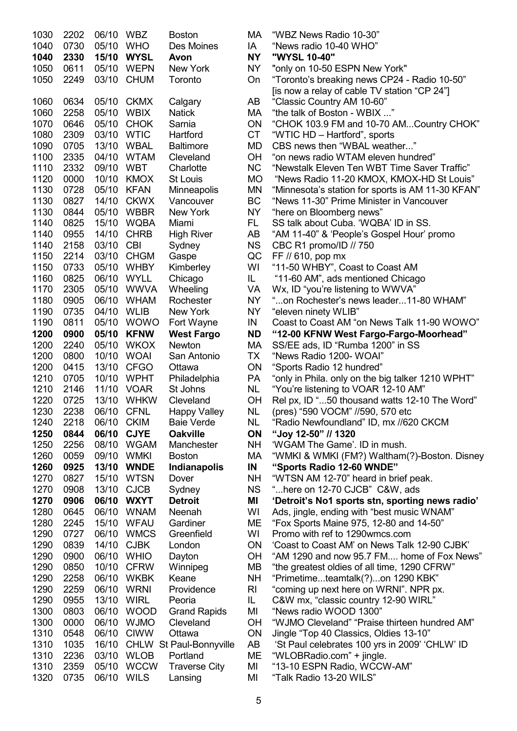| 1030<br>1040<br>1040 | 2202<br>0730<br>2330 | 06/10<br>05/10<br>15/10 | WBZ<br><b>WHO</b><br><b>WYSL</b> | <b>Boston</b><br>Des Moines<br>Avon | МA<br>IA<br><b>NY</b> | "WBZ News Radio 10-30"<br>"News radio 10-40 WHO"<br>"WYSL 10-40" |
|----------------------|----------------------|-------------------------|----------------------------------|-------------------------------------|-----------------------|------------------------------------------------------------------|
| 1050                 | 0611                 | 05/10                   | WEPN                             | New York                            | NY.                   | "only on 10-50 ESPN New York"                                    |
| 1050                 | 2249                 | 03/10                   | <b>CHUM</b>                      | Toronto                             | On                    | "Toronto's breaking news CP24 - Radio 10-5                       |
|                      |                      |                         |                                  |                                     |                       | [is now a relay of cable TV station "CP 24"]                     |
| 1060                 | 0634                 | 05/10                   | <b>CKMX</b>                      | Calgary                             | AB                    | "Classic Country AM 10-60"                                       |
| 1060                 | 2258                 | 05/10                   | <b>WBIX</b>                      | <b>Natick</b>                       | МA                    | "the talk of Boston - WBIX "                                     |
| 1070                 | 0646                 | 05/10                   | <b>CHOK</b>                      | Sarnia                              | ON                    | "CHOK 103.9 FM and 10-70 AMCountry CI                            |
| 1080                 | 2309                 | 03/10                   | <b>WTIC</b>                      | Hartford                            | <b>CT</b>             | "WTIC HD - Hartford", sports                                     |
| 1090                 | 0705                 | 13/10                   | <b>WBAL</b>                      | <b>Baltimore</b>                    | MD                    | CBS news then "WBAL weather"                                     |
| 1100                 | 2335                 | 04/10                   | <b>WTAM</b>                      | Cleveland                           | <b>OH</b>             | "on news radio WTAM eleven hundred"                              |
| 1110                 | 2332                 | 09/10                   | <b>WBT</b>                       | Charlotte                           | <b>NC</b>             | "Newstalk Eleven Ten WBT Time Saver Traf                         |
| 1120                 | 0000                 | 10/10                   | <b>KMOX</b>                      | St Louis                            | <b>MO</b>             | "News Radio 11-20 KMOX, KMOX-HD St Lo                            |
| 1130                 | 0728                 | 05/10                   | <b>KFAN</b>                      | <b>Minneapolis</b>                  | MN                    | "Minnesota's station for sports is AM 11-30 K                    |
| 1130                 | 0827                 | 14/10                   | <b>CKWX</b>                      | Vancouver                           | BC                    | "News 11-30" Prime Minister in Vancouver                         |
| 1130                 | 0844                 | 05/10                   | <b>WBBR</b>                      | New York                            | <b>NY</b>             | "here on Bloomberg news"                                         |
| 1140                 | 0825                 | 15/10                   | <b>WQBA</b>                      | Miami                               | FL.                   | SS talk about Cuba. 'WQBA' ID in SS.                             |
| 1140                 | 0955                 | 14/10                   | <b>CHRB</b>                      | <b>High River</b>                   | AB                    | "AM 11-40" & 'People's Gospel Hour' promo                        |
| 1140                 | 2158                 | 03/10                   | <b>CBI</b>                       | Sydney                              | <b>NS</b>             | CBC R1 promo/ID // 750                                           |
| 1150                 | 2214                 | 03/10                   | <b>CHGM</b>                      | Gaspe                               | QC                    | FF // 610, pop mx                                                |
| 1150                 | 0733                 | 05/10                   | <b>WHBY</b>                      | Kimberley                           | WI                    | "11-50 WHBY", Coast to Coast AM                                  |
| 1160                 | 0825                 | 06/10                   | <b>WYLL</b>                      | Chicago                             | IL                    | "11-60 AM", ads mentioned Chicago                                |
| 1170                 | 2305                 | 05/10                   | <b>WWVA</b>                      | Wheeling                            | VA                    | Wx, ID "you're listening to WWVA"                                |
| 1180                 | 0905                 | 06/10                   | <b>WHAM</b>                      | Rochester                           | <b>NY</b>             | "on Rochester's news leader11-80 WHAI                            |
| 1190                 | 0735                 | 04/10                   | <b>WLIB</b>                      | New York                            | <b>NY</b>             | "eleven ninety WLIB"                                             |
| 1190                 | 0811                 | 05/10                   | <b>WOWO</b>                      | Fort Wayne                          | IN                    | Coast to Coast AM "on News Talk 11-90 WC                         |
| 1200                 | 0900                 | 05/10                   | <b>KFNW</b>                      | <b>West Fargo</b>                   | <b>ND</b>             | "12-00 KFNW West Fargo-Fargo-Moorhea                             |
| 1200                 | 2240                 | 05/10                   | <b>WKOX</b>                      | Newton                              | MA                    | SS/EE ads, ID "Rumba 1200" in SS                                 |
| 1200                 | 0800                 | 10/10                   | <b>WOAI</b>                      | San Antonio                         | <b>TX</b>             | "News Radio 1200- WOAI"                                          |
| 1200                 | 0415                 | 13/10                   | <b>CFGO</b>                      | Ottawa                              | ON                    | "Sports Radio 12 hundred"                                        |
| 1210                 | 0705                 | 10/10                   | <b>WPHT</b>                      | Philadelphia                        | PA                    | "only in Phila. only on the big talker 1210 WP                   |
| 1210                 | 2146                 | 11/10                   | <b>VOAR</b>                      | St Johns                            | NL                    | "You're listening to VOAR 12-10 AM"                              |
| 1220                 | 0725                 | 13/10                   | <b>WHKW</b>                      | Cleveland                           | OH                    | Rel px, ID "50 thousand watts 12-10 The W                        |
| 1230                 | 2238                 | 06/10                   | <b>CFNL</b>                      | <b>Happy Valley</b>                 | <b>NL</b>             | (pres) "590 VOCM" //590, 570 etc                                 |
| 1240                 | 2218                 | 06/10 CKIM              |                                  | <b>Baie Verde</b>                   | <b>NL</b>             | "Radio Newfoundland" ID, mx //620 CKCM                           |
| 1250                 | 0844                 | 06/10                   | <b>CJYE</b>                      | <b>Oakville</b>                     | ON                    | "Joy 12-50" // 1320                                              |
| 1250                 | 2256                 | 08/10                   | <b>WGAM</b>                      | Manchester                          | <b>NH</b>             | 'WGAM The Game'. ID in mush.                                     |
| 1260                 | 0059                 | 09/10                   | <b>WMKI</b>                      | <b>Boston</b>                       | МA                    | "WMKI & WMKI (FM?) Waltham(?)-Boston. I                          |
| 1260                 | 0925                 | 13/10                   | <b>WNDE</b>                      | <b>Indianapolis</b>                 | IN                    | "Sports Radio 12-60 WNDE"                                        |
| 1270                 | 0827                 | 15/10                   | <b>WTSN</b>                      | Dover                               | NΗ                    | "WTSN AM 12-70" heard in brief peak.                             |
| 1270                 | 0908                 | 13/10                   | <b>CJCB</b>                      | Sydney                              | <b>NS</b>             | "here on 12-70 CJCB" C&W, ads                                    |
| 1270                 | 0906                 | 06/10                   | <b>WXYT</b>                      | <b>Detroit</b>                      | ΜI                    | 'Detroit's No1 sports stn, sporting news r                       |
| 1280                 | 0645                 | 06/10                   | <b>WNAM</b>                      | Neenah                              | WI                    | Ads, jingle, ending with "best music WNAM"                       |
| 1280                 | 2245                 | 15/10                   | <b>WFAU</b>                      | Gardiner                            | ME                    | "Fox Sports Maine 975, 12-80 and 14-50"                          |
| 1290                 | 0727                 | 06/10                   | <b>WMCS</b>                      | Greenfield                          | WI                    | Promo with ref to 1290wmcs.com                                   |
| 1290                 | 0839                 | 14/10                   | <b>CJBK</b>                      | London                              | ON                    | 'Coast to Coast AM' on News Talk 12-90 CJI                       |
| 1290                 | 0900                 | 06/10                   | <b>WHIO</b>                      | Dayton                              | OH                    | "AM 1290 and now 95.7 FM home of Fox I                           |
| 1290                 | 0850                 | 10/10                   | <b>CFRW</b>                      | Winnipeg                            | МB                    | "the greatest oldies of all time, 1290 CFRW"                     |
| 1290                 | 2258                 | 06/10                   | <b>WKBK</b>                      | Keane                               | <b>NH</b>             | "Primetimeteamtalk(?)on 1290 KBK"                                |
| 1290                 | 2259                 | 06/10                   | <b>WRNI</b>                      | Providence                          | R <sub>l</sub>        | "coming up next here on WRNI". NPR px.                           |
| 1290                 | 0955                 | 13/10                   | <b>WIRL</b>                      | Peoria                              | IL.                   | C&W mx, "classic country 12-90 WIRL"                             |
| 1300                 | 0803                 | 06/10                   | <b>WOOD</b>                      | <b>Grand Rapids</b>                 | MI                    | "News radio WOOD 1300"                                           |
| 1300<br>1310         | 0000                 | 06/10                   | <b>WJMO</b>                      | Cleveland                           | OH                    | "WJMO Cleveland" "Praise thirteen hundred                        |
|                      | 0548                 | 06/10                   | <b>CIWW</b>                      | Ottawa                              | ON                    | Jingle "Top 40 Classics, Oldies 13-10"                           |
| 1310<br>1310         | 1035                 | 16/10                   |                                  | CHLW St Paul-Bonnyville<br>Portland | AB<br>ME              | 'St Paul celebrates 100 yrs in 2009' 'CHLW'                      |
| 1310                 | 2236<br>2359         | 03/10<br>05/10          | <b>WLOB</b><br><b>WCCW</b>       | <b>Traverse City</b>                | MI                    | "WLOBRadio.com" + jingle.<br>"13-10 ESPN Radio, WCCW-AM"         |
| 1320                 | 0735                 | 06/10                   | <b>WILS</b>                      | Lansing                             | MI                    | "Talk Radio 13-20 WILS"                                          |
|                      |                      |                         |                                  |                                     |                       |                                                                  |

| 1030         | 2202         | 06/10 WBZ      |                            | <b>Boston</b>                            | MA.             | "WBZ News Radio 10-30"                                                                        |
|--------------|--------------|----------------|----------------------------|------------------------------------------|-----------------|-----------------------------------------------------------------------------------------------|
| 1040         | 0730         | 05/10          | <b>WHO</b>                 | Des Moines                               | IA              | "News radio 10-40 WHO"                                                                        |
| 1040         | 2330         | 15/10          | <b>WYSL</b>                | Avon                                     | <b>NY</b>       | "WYSL 10-40"                                                                                  |
| 1050         | 0611         | 05/10          | WEPN                       | New York                                 | <b>NY</b>       | "only on 10-50 ESPN New York"                                                                 |
| 1050         | 2249         | 03/10          | <b>CHUM</b>                | Toronto                                  | On              | "Toronto's breaking news CP24 - Radio 10-50"                                                  |
|              |              |                |                            |                                          |                 | [is now a relay of cable TV station "CP 24"]                                                  |
| 1060         | 0634         | 05/10          | <b>CKMX</b>                | Calgary                                  | AB              | "Classic Country AM 10-60"                                                                    |
| 1060         | 2258         | 05/10          | <b>WBIX</b>                | <b>Natick</b>                            | МA              | "the talk of Boston - WBIX "                                                                  |
| 1070         | 0646         | 05/10          | <b>CHOK</b>                | Sarnia                                   | <b>ON</b>       | "CHOK 103.9 FM and 10-70 AMCountry CHOK"                                                      |
| 1080         | 2309         | 03/10          | <b>WTIC</b>                | Hartford                                 | <b>CT</b>       | "WTIC HD - Hartford", sports                                                                  |
| 1090         | 0705         | 13/10          | WBAL                       | <b>Baltimore</b>                         | MD              | CBS news then "WBAL weather"                                                                  |
| 1100         | 2335         | 04/10          | WTAM                       | Cleveland                                | <b>OH</b>       | "on news radio WTAM eleven hundred"                                                           |
| 1110         | 2332         | 09/10          | WBT                        | Charlotte                                | <b>NC</b>       | "Newstalk Eleven Ten WBT Time Saver Traffic"                                                  |
| 1120<br>1130 | 0000<br>0728 | 10/10<br>05/10 | <b>KMOX</b><br><b>KFAN</b> | St Louis                                 | <b>MO</b><br>ΜN | "News Radio 11-20 KMOX, KMOX-HD St Louis"                                                     |
| 1130         | 0827         | 14/10          | <b>CKWX</b>                | Minneapolis<br>Vancouver                 | BC              | "Minnesota's station for sports is AM 11-30 KFAN"<br>"News 11-30" Prime Minister in Vancouver |
| 1130         | 0844         | 05/10          | <b>WBBR</b>                | <b>New York</b>                          | <b>NY</b>       | "here on Bloomberg news"                                                                      |
| 1140         | 0825         | 15/10          | <b>WQBA</b>                | Miami                                    | FL.             | SS talk about Cuba. 'WQBA' ID in SS.                                                          |
| 1140         | 0955         | 14/10          | <b>CHRB</b>                | <b>High River</b>                        | AB              | "AM 11-40" & 'People's Gospel Hour' promo                                                     |
| 1140         | 2158         | 03/10          | <b>CBI</b>                 | Sydney                                   | <b>NS</b>       | CBC R1 promo/ID // 750                                                                        |
| 1150         | 2214         | 03/10          | <b>CHGM</b>                | Gaspe                                    | QC              | FF // 610, pop mx                                                                             |
| 1150         | 0733         | 05/10          | WHBY                       | Kimberley                                | WI              | "11-50 WHBY", Coast to Coast AM                                                               |
| 1160         | 0825         | 06/10          | WYLL                       | Chicago                                  | IL.             | "11-60 AM", ads mentioned Chicago                                                             |
| 1170         | 2305         | 05/10          | <b>WWVA</b>                | Wheeling                                 | VA              | Wx, ID "you're listening to WWVA"                                                             |
| 1180         | 0905         | 06/10          | <b>WHAM</b>                | Rochester                                | <b>NY</b>       | "on Rochester's news leader11-80 WHAM"                                                        |
| 1190         | 0735         | 04/10          | <b>WLIB</b>                | New York                                 | <b>NY</b>       | "eleven ninety WLIB"                                                                          |
| 1190         | 0811         | 05/10          | <b>WOWO</b>                | Fort Wayne                               | IN              | Coast to Coast AM "on News Talk 11-90 WOWO"                                                   |
| 1200         | 0900         | 05/10          | <b>KFNW</b>                | <b>West Fargo</b>                        | <b>ND</b>       | "12-00 KFNW West Fargo-Fargo-Moorhead"                                                        |
| 1200         | 2240         | 05/10          | <b>WKOX</b>                | <b>Newton</b>                            | МA              | SS/EE ads, ID "Rumba 1200" in SS                                                              |
| 1200         | 0800         | 10/10          | <b>WOAI</b>                | San Antonio                              | TX              | "News Radio 1200- WOAI"                                                                       |
| 1200         | 0415         | 13/10          | <b>CFGO</b>                | Ottawa                                   | <b>ON</b>       | "Sports Radio 12 hundred"                                                                     |
| 1210         | 0705         | 10/10          | <b>WPHT</b>                | Philadelphia                             | PA              | "only in Phila. only on the big talker 1210 WPHT"                                             |
| 1210         | 2146<br>0725 | 11/10          | <b>VOAR</b>                | St Johns                                 | <b>NL</b>       | "You're listening to VOAR 12-10 AM"                                                           |
| 1220         | 2238         | 13/10          | <b>WHKW</b>                | Cleveland                                | OH              | Rel px, ID "50 thousand watts 12-10 The Word"                                                 |
| 1230<br>1240 | 2218         | 06/10 CKIM     | 06/10 CFNL                 | <b>Happy Valley</b><br><b>Baie Verde</b> | <b>NL</b><br>NL | (pres) "590 VOCM" //590, 570 etc<br>"Radio Newfoundland" ID, mx //620 CKCM                    |
| 1250         | 0844         | 06/10          | <b>CJYE</b>                | <b>Oakville</b>                          | <b>ON</b>       | "Joy 12-50" // 1320                                                                           |
| 1250         | 2256         | 08/10          | WGAM                       | Manchester                               | <b>NH</b>       | 'WGAM The Game'. ID in mush.                                                                  |
| 1260         | 0059         | 09/10          | <b>WMKI</b>                | <b>Boston</b>                            | МA              | "WMKI & WMKI (FM?) Waltham(?)-Boston. Disney                                                  |
| 1260         | 0925         | 13/10          | <b>WNDE</b>                | <b>Indianapolis</b>                      | IN              | "Sports Radio 12-60 WNDE"                                                                     |
| 1270         | 0827         | 15/10          | <b>WTSN</b>                | Dover                                    | NH              | "WTSN AM 12-70" heard in brief peak.                                                          |
| 1270         | 0908         | 13/10          | <b>CJCB</b>                | Sydney                                   | <b>NS</b>       | "here on 12-70 CJCB" C&W, ads                                                                 |
| 1270         | 0906         | 06/10          | <b>WXYT</b>                | <b>Detroit</b>                           | ΜI              | 'Detroit's No1 sports stn, sporting news radio'                                               |
| 1280         | 0645         | 06/10          | <b>WNAM</b>                | Neenah                                   | WI              | Ads, jingle, ending with "best music WNAM"                                                    |
| 1280         | 2245         | 15/10          | WFAU                       | Gardiner                                 | ME              | "Fox Sports Maine 975, 12-80 and 14-50"                                                       |
| 1290         | 0727         | 06/10          | <b>WMCS</b>                | Greenfield                               | WI              | Promo with ref to 1290wmcs.com                                                                |
| 1290         | 0839         | 14/10          | <b>CJBK</b>                | London                                   | <b>ON</b>       | 'Coast to Coast AM' on News Talk 12-90 CJBK'                                                  |
| 1290         | 0900         | 06/10          | <b>WHIO</b>                | Dayton                                   | <b>OH</b>       | "AM 1290 and now 95.7 FM home of Fox News"                                                    |
| 1290         | 0850         | 10/10          | <b>CFRW</b>                | Winnipeg                                 | MВ              | "the greatest oldies of all time, 1290 CFRW"                                                  |
| 1290         | 2258         | 06/10          | WKBK                       | Keane                                    | <b>NH</b>       | "Primetimeteamtalk(?)on 1290 KBK"                                                             |
| 1290         | 2259         | 06/10          | WRNI                       | Providence                               | R <sub>l</sub>  | "coming up next here on WRNI". NPR px.                                                        |
| 1290         | 0955         | 13/10          | WIRL                       | Peoria                                   | IL.             | C&W mx, "classic country 12-90 WIRL"                                                          |
| 1300         | 0803         | 06/10          | <b>WOOD</b>                | <b>Grand Rapids</b>                      | MI              | "News radio WOOD 1300"                                                                        |
| 1300         | 0000         | 06/10          | <b>WJMO</b>                | Cleveland                                | <b>OH</b>       | "WJMO Cleveland" "Praise thirteen hundred AM"                                                 |
| 1310         | 0548         | 06/10          | <b>CIWW</b>                | Ottawa                                   | <b>ON</b>       | Jingle "Top 40 Classics, Oldies 13-10"                                                        |
| 1310         | 1035         | 16/10          |                            | <b>CHLW St Paul-Bonnyville</b>           | AB              | 'St Paul celebrates 100 yrs in 2009' 'CHLW' ID                                                |
| 1310         | 2236         | 03/10          | <b>WLOB</b>                | Portland                                 | MЕ              | "WLOBRadio.com" + jingle.                                                                     |
| 1310         | 2359         | 05/10          | <b>WCCW</b>                | <b>Traverse City</b>                     | MI              | "13-10 ESPN Radio, WCCW-AM"                                                                   |
| 1320         | 0735         | 06/10          | <b>WILS</b>                | Lansing                                  | MI              | "Talk Radio 13-20 WILS"                                                                       |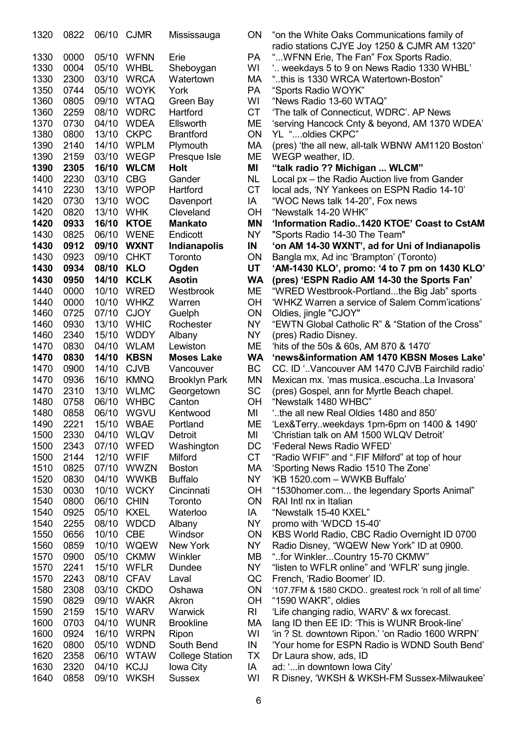| 1320         | 0822 |       | 06/10 CJMR         | Mississauga            | ON        | "on the White Oaks Communications family of                           |
|--------------|------|-------|--------------------|------------------------|-----------|-----------------------------------------------------------------------|
|              |      |       |                    |                        |           | radio stations CJYE Joy 1250 & CJMR AM 1320"                          |
| 1330         | 0000 | 05/10 | <b>WFNN</b>        | Erie                   | <b>PA</b> | " WFNN Erie, The Fan" Fox Sports Radio.                               |
| 1330         | 0004 | 05/10 | <b>WHBL</b>        | Sheboygan              | WI        | ' weekdays 5 to 9 on News Radio 1330 WHBL'                            |
| 1330         | 2300 | 03/10 | <b>WRCA</b>        | Watertown              | МA        | "this is 1330 WRCA Watertown-Boston"                                  |
| 1350         | 0744 | 05/10 | <b>WOYK</b>        | York                   | <b>PA</b> | "Sports Radio WOYK"                                                   |
| 1360         | 0805 | 09/10 | <b>WTAQ</b>        | Green Bay              | WI        | "News Radio 13-60 WTAQ"                                               |
| 1360         | 2259 | 08/10 | <b>WDRC</b>        | Hartford               | <b>CT</b> | 'The talk of Connecticut, WDRC'. AP News                              |
| 1370         | 0730 | 04/10 | <b>WDEA</b>        | Ellsworth              | ME        | 'serving Hancock Cnty & beyond, AM 1370 WDEA'                         |
| 1380         | 0800 | 13/10 | <b>CKPC</b>        | <b>Brantford</b>       | ON        | YL "oldies CKPC"                                                      |
| 1390         | 2140 | 14/10 | <b>WPLM</b>        | Plymouth               | МA        | (pres) 'the all new, all-talk WBNW AM1120 Boston'                     |
| 1390         | 2159 | 03/10 | <b>WEGP</b>        | Presque Isle           | MЕ        | WEGP weather, ID.                                                     |
| 1390         | 2305 | 16/10 | <b>WLCM</b>        | <b>Holt</b>            | ΜI        | "talk radio ?? Michigan  WLCM"                                        |
| 1400         | 2230 | 03/10 | <b>CBG</b>         | Gander                 | <b>NL</b> | Local px - the Radio Auction live from Gander                         |
| 1410         | 2230 | 13/10 | <b>WPOP</b>        | Hartford               | <b>CT</b> | local ads, 'NY Yankees on ESPN Radio 14-10'                           |
| 1420         | 0730 | 13/10 | <b>WOC</b>         | Davenport              | IA        | "WOC News talk 14-20", Fox news                                       |
| 1420         | 0820 | 13/10 | <b>WHK</b>         | Cleveland              | OН        | "Newstalk 14-20 WHK"                                                  |
| 1420         | 0933 | 16/10 | <b>KTOE</b>        | <b>Mankato</b>         | <b>MN</b> | 'Information Radio1420 KTOE' Coast to CstAM                           |
| 1430         | 0825 | 06/10 | <b>WENE</b>        | Endicott               | <b>NY</b> | "Sports Radio 14-30 The Team"                                         |
| 1430         | 0912 | 09/10 | <b>WXNT</b>        | <b>Indianapolis</b>    | IN        | 'on AM 14-30 WXNT', ad for Uni of Indianapolis                        |
| 1430         | 0923 | 09/10 | <b>CHKT</b>        | Toronto                | <b>ON</b> | Bangla mx, Ad inc 'Brampton' (Toronto)                                |
| 1430         | 0934 | 08/10 | <b>KLO</b>         | Ogden                  | UT        | 'AM-1430 KLO', promo: '4 to 7 pm on 1430 KLO'                         |
| 1430         | 0950 | 14/10 | <b>KCLK</b>        | <b>Asotin</b>          | <b>WA</b> | (pres) 'ESPN Radio AM 14-30 the Sports Fan'                           |
| 1440         | 0000 | 10/10 | <b>WRED</b>        | Westbrook              | MЕ        | "WRED Westbrook-Portlandthe Big Jab" sports                           |
| 1440         | 0000 | 10/10 | <b>WHKZ</b>        | Warren                 | OН        | 'WHKZ Warren a service of Salem Comm'ications'                        |
| 1460         | 0725 | 07/10 | <b>CJOY</b>        | Guelph                 | ON        | Oldies, jingle "CJOY"                                                 |
| 1460         | 0930 | 13/10 | <b>WHIC</b>        | Rochester              | NY.       | "EWTN Global Catholic R" & "Station of the Cross"                     |
| 1460         | 2340 | 15/10 | <b>WDDY</b>        | Albany                 | <b>NY</b> | (pres) Radio Disney.                                                  |
| 1470         | 0830 | 04/10 | <b>WLAM</b>        | Lewiston               | ME        | 'hits of the 50s & 60s, AM 870 & 1470'                                |
| 1470         | 0830 | 14/10 | <b>KBSN</b>        | <b>Moses Lake</b>      | <b>WA</b> | 'news&information AM 1470 KBSN Moses Lake'                            |
| 1470         | 0900 | 14/10 | <b>CJVB</b>        | Vancouver              | BC        | CC. ID ' Vancouver AM 1470 CJVB Fairchild radio'                      |
| 1470         | 0936 | 16/10 | <b>KMNQ</b>        |                        | <b>MN</b> | Mexican mx. 'mas musicaescuchaLa Invasora'                            |
| 1470         | 2310 | 13/10 | <b>WLMC</b>        | <b>Brooklyn Park</b>   | <b>SC</b> |                                                                       |
| 1480         | 0758 | 06/10 | <b>WHBC</b>        | Georgetown<br>Canton   | <b>OH</b> | (pres) Gospel, ann for Myrtle Beach chapel.<br>"Newstalk 1480 WHBC"   |
| 1480         | 0858 | 06/10 | WGVU               | Kentwood               | MI        | "the all new Real Oldies 1480 and 850"                                |
|              | 2221 |       |                    |                        |           |                                                                       |
| 1490<br>1500 | 2330 | 04/10 | 15/10 WBAE<br>WLQV | Portland               | MЕ<br>MI  | 'Lex&Terryweekdays 1pm-6pm on 1400 & 1490'                            |
|              |      |       |                    | Detroit                |           | 'Christian talk on AM 1500 WLQV Detroit'<br>'Federal News Radio WFED' |
| 1500         | 2343 |       | 07/10 WFED         | Washington             | DC        |                                                                       |
| 1500         | 2144 | 12/10 | WFIF               | Milford                | <b>CT</b> | "Radio WFIF" and ".FIF Milford" at top of hour                        |
| 1510         | 0825 | 07/10 | <b>WWZN</b>        | <b>Boston</b>          | МA        | 'Sporting News Radio 1510 The Zone'                                   |
| 1520         | 0830 | 04/10 | <b>WWKB</b>        | <b>Buffalo</b>         | NY.       | 'KB 1520.com - WWKB Buffalo'                                          |
| 1530         | 0030 | 10/10 | <b>WCKY</b>        | Cincinnati             | ОH        | "1530homer.com the legendary Sports Animal"                           |
| 1540         | 0800 | 06/10 | <b>CHIN</b>        | Toronto                | ON        | RAI Intl nx in Italian                                                |
| 1540         | 0925 | 05/10 | KXEL               | Waterloo               | IA        | "Newstalk 15-40 KXEL"                                                 |
| 1540         | 2255 |       | 08/10 WDCD         | Albany                 | NY.       | promo with 'WDCD 15-40'                                               |
| 1550         | 0656 | 10/10 | <b>CBE</b>         | Windsor                | <b>ON</b> | KBS World Radio, CBC Radio Overnight ID 0700                          |
| 1560         | 0859 | 10/10 | <b>WQEW</b>        | New York               | <b>NY</b> | Radio Disney, "WQEW New York" ID at 0900.                             |
| 1570         | 0900 | 05/10 | <b>CKMW</b>        | Winkler                | MВ        | "for WinklerCountry 15-70 CKMW"                                       |
| 1570         | 2241 | 15/10 | <b>WFLR</b>        | Dundee                 | NY        | "listen to WFLR online" and 'WFLR' sung jingle.                       |
| 1570         | 2243 | 08/10 | <b>CFAV</b>        | Laval                  | QC        | French, 'Radio Boomer' ID.                                            |
| 1580         | 2308 | 03/10 | <b>CKDO</b>        | Oshawa                 | ON        | '107.7FM & 1580 CKDO greatest rock 'n roll of all time'               |
| 1590         | 0829 | 09/10 | WAKR               | Akron                  | ОH        | "1590 WAKR", oldies                                                   |
| 1590         | 2159 | 15/10 | WARV               | Warwick                | RI        | 'Life changing radio, WARV' & wx forecast.                            |
| 1600         | 0703 |       | 04/10 WUNR         | <b>Brookline</b>       | МA        | lang ID then EE ID: 'This is WUNR Brook-line'                         |
| 1600         | 0924 | 16/10 | <b>WRPN</b>        | Ripon                  | WI        | 'in ? St. downtown Ripon.' 'on Radio 1600 WRPN'                       |
| 1620         | 0800 | 05/10 | <b>WDND</b>        | South Bend             | IN        | 'Your home for ESPN Radio is WDND South Bend'                         |
| 1620         | 2358 | 06/10 | <b>WTAW</b>        | <b>College Station</b> | ТX        | Dr Laura show, ads, ID                                                |
| 1630         | 2320 | 04/10 | <b>KCJJ</b>        | Iowa City              | IA        | ad: ' in downtown lowa City'                                          |
| 1640         | 0858 | 09/10 | <b>WKSH</b>        | <b>Sussex</b>          | WI        | R Disney, 'WKSH & WKSH-FM Sussex-Milwaukee'                           |

| "on the White Oaks Communications family of                             |
|-------------------------------------------------------------------------|
| radio stations CJYE Joy 1250 & CJMR AM 1320"                            |
| " WFNN Erie, The Fan" Fox Sports Radio.                                 |
|                                                                         |
| " weekdays 5 to 9 on News Radio 1330 WHBL"                              |
| "this is 1330 WRCA Watertown-Boston"                                    |
| "Sports Radio WOYK"                                                     |
| "News Radio 13-60 WTAQ"                                                 |
| 'The talk of Connecticut, WDRC'. AP News                                |
| 'serving Hancock Cnty & beyond, AM 1370 WDEA'                           |
| YL "oldies CKPC"                                                        |
| (pres) 'the all new, all-talk WBNW AM1120 Boston'                       |
|                                                                         |
| WEGP weather, ID.                                                       |
| "talk radio ?? Michigan  WLCM"                                          |
| Local px - the Radio Auction live from Gander                           |
| local ads, 'NY Yankees on ESPN Radio 14-10'                             |
| "WOC News talk 14-20", Fox news                                         |
| "Newstalk 14-20 WHK"                                                    |
|                                                                         |
| 'Information Radio1420 KTOE' Coast to CstAM                             |
| "Sports Radio 14-30 The Team"                                           |
| 'on AM 14-30 WXNT', ad for Uni of Indianapolis                          |
| Bangla mx, Ad inc 'Brampton' (Toronto)                                  |
| 'AM-1430 KLO', promo: '4 to 7 pm on 1430 KLO'                           |
| (pres) 'ESPN Radio AM 14-30 the Sports Fan'                             |
| "WRED Westbrook-Portlandthe Big Jab" sports                             |
|                                                                         |
| 'WHKZ Warren a service of Salem Comm'ications'                          |
| Oldies, jingle "CJOY"                                                   |
| "EWTN Global Catholic R" & "Station of the Cross"                       |
| (pres) Radio Disney.                                                    |
|                                                                         |
|                                                                         |
| 'hits of the 50s & 60s, AM 870 & 1470'                                  |
| 'news&information AM 1470 KBSN Moses Lake'                              |
| CC. ID ' Vancouver AM 1470 CJVB Fairchild radio'                        |
| Mexican mx. 'mas musicaescuchaLa Invasora'                              |
| (pres) Gospel, ann for Myrtle Beach chapel.                             |
| "Newstalk 1480 WHBC"                                                    |
| the all new Real Oldies 1480 and 850                                    |
| 'Lex&Terryweekdays 1pm-6pm on 1400 & 1490'                              |
| 'Christian talk on AM 1500 WLQV Detroit'                                |
|                                                                         |
| 'Federal News Radio WFED'                                               |
| "Radio WFIF" and ".FIF Milford" at top of hour                          |
| 'Sporting News Radio 1510 The Zone'                                     |
| 'KB 1520.com - WWKB Buffalo'                                            |
| "1530homer.com the legendary Sports Animal"                             |
| RAI Intl nx in Italian                                                  |
| "Newstalk 15-40 KXEL"                                                   |
| promo with 'WDCD 15-40'                                                 |
|                                                                         |
| KBS World Radio, CBC Radio Overnight ID 0700                            |
| Radio Disney, "WQEW New York" ID at 0900.                               |
| "for WinklerCountry 15-70 CKMW"                                         |
| "listen to WFLR online" and 'WFLR' sung jingle.                         |
| French, 'Radio Boomer' ID.                                              |
| '107.7FM & 1580 CKDO greatest rock 'n roll of all time'                 |
| "1590 WAKR", oldies                                                     |
| 'Life changing radio, WARV' & wx forecast.                              |
| lang ID then EE ID: 'This is WUNR Brook-line'                           |
|                                                                         |
| 'in ? St. downtown Ripon.' 'on Radio 1600 WRPN'                         |
| 'Your home for ESPN Radio is WDND South Bend'<br>Dr Laura show, ads, ID |

- 
- 1640 0858 09/10 WKSH Sussex WI R Disney, 'WKSH & WKSH-FM Sussex-Milwaukee'